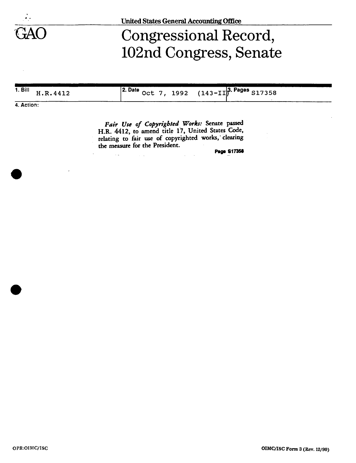

## Congressional Record, 102nd Congress, Senate

| 1. Bill      | $ 2.$ Date  |                               |  |
|--------------|-------------|-------------------------------|--|
| 4412<br>H.R. | 1992<br>Oct | 2 $(143-TI)^3$ . Pages S17358 |  |
|              |             |                               |  |
|              |             |                               |  |

## **4. Action:**

*Fair Use of Copyrighted Works:* Senate passed H.R. 4412, to amend title 17, United States Code, relating to fair use of copyrighted works, clearing the measure for the President.

**Page S17356**